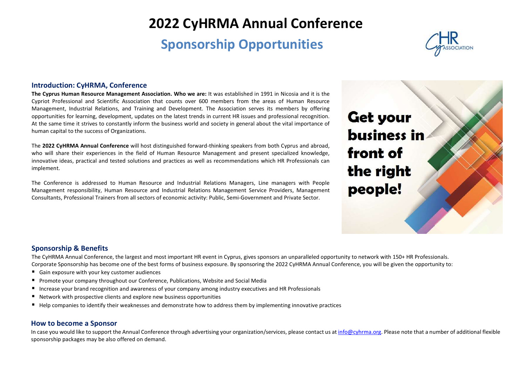# 2022 CyHRMA Annual Conference

## Sponsorship Opportunities



#### Introduction: CyHRMA, Conference

The Cyprus Human Resource Management Association. Who we are: It was established in 1991 in Nicosia and it is the Cypriot Professional and Scientific Association that counts over 600 members from the areas of Human Resource Management, Industrial Relations, and Training and Development. The Association serves its members by offering opportunities for learning, development, updates on the latest trends in current HR issues and professional recognition. At the same time it strives to constantly inform the business world and society in general about the vital importance of human capital to the success of Organizations.

The 2022 CyHRMA Annual Conference will host distinguished forward-thinking speakers from both Cyprus and abroad, who will share their experiences in the field of Human Resource Management and present specialized knowledge, innovative ideas, practical and tested solutions and practices as well as recommendations which HR Professionals can implement.

The Conference is addressed to Human Resource and Industrial Relations Managers, Line managers with People Management responsibility, Human Resource and Industrial Relations Management Service Providers, Management Consultants, Professional Trainers from all sectors of economic activity: Public, Semi-Government and Private Sector.

**Get your business in** front of the right people!

#### Sponsorship & Benefits

The CyHRMA Annual Conference, the largest and most important HR event in Cyprus, gives sponsors an unparalleled opportunity to network with 150+ HR Professionals. Corporate Sponsorship has become one of the best forms of business exposure. By sponsoring the 2022 CyHRMA Annual Conference, you will be given the opportunity to:

- Gain exposure with your key customer audiences
- Promote your company throughout our Conference, Publications, Website and Social Media
- Increase your brand recognition and awareness of your company among industry executives and HR Professionals
- Network with prospective clients and explore new business opportunities
- Help companies to identify their weaknesses and demonstrate how to address them by implementing innovative practices

#### How to become a Sponsor

In case you would like to support the Annual Conference through advertising your organization/services, please contact us at info@cyhrma.org. Please note that a number of additional flexible sponsorship packages may be also offered on demand.